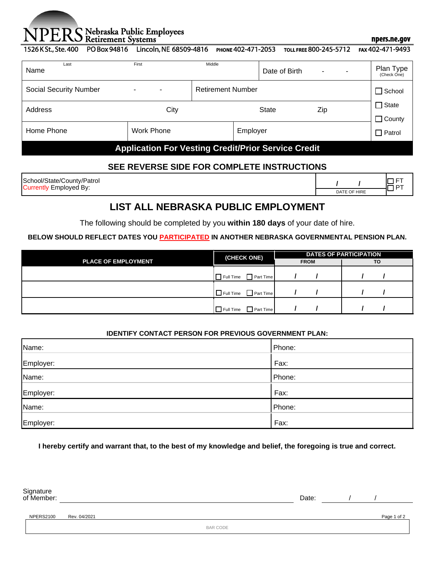# Nebraska Public Employees<br>Retirement Systems

#### npers.ne.gov

1526 K St., Ste. 400 PO Box 94816 Lincoln, NE 68509-4816 PHONE 402-471-2053 **TOLL FREE 800-245-5712** FAX 402-471-9493

| Last<br>Name                  | First               | Middle                                                     | Date of Birth | ۰<br>٠ | Plan Type<br>(Check One)      |
|-------------------------------|---------------------|------------------------------------------------------------|---------------|--------|-------------------------------|
| <b>Social Security Number</b> | $\blacksquare$<br>٠ | <b>Retirement Number</b>                                   |               |        | $\Box$ School                 |
| Address                       | City                |                                                            | <b>State</b>  | Zip    | $\Box$ State<br>$\Box$ County |
| Home Phone                    | <b>Work Phone</b>   | Employer                                                   |               |        | $\Box$ Patrol                 |
|                               |                     | <b>Application For Vesting Credit/Prior Service Credit</b> |               |        |                               |

# **SEE REVERSE SIDE FOR COMPLETE INSTRUCTIONS**

School/State/County/Patrol Currently Employed By: **/ /**

|              | – ' |
|--------------|-----|
| DATE OF HIRE |     |

# **LIST ALL NEBRASKA PUBLIC EMPLOYMENT**

The following should be completed by you **within 180 days** of your date of hire.

## **BELOW SHOULD REFLECT DATES YOU PARTICIPATED IN ANOTHER NEBRASKA GOVERNMENTAL PENSION PLAN.**

|                            | (CHECK ONE)                       | <b>DATES OF PARTICIPATION</b> |    |  |
|----------------------------|-----------------------------------|-------------------------------|----|--|
| <b>PLACE OF EMPLOYMENT</b> |                                   | <b>FROM</b>                   | TO |  |
|                            | Part Time<br>$\prod$ Full Time    |                               |    |  |
|                            | $\Box$ Full Time $\Box$ Part Time |                               |    |  |
|                            | $\Box$ Full Time<br>Part Time     |                               |    |  |

#### **IDENTIFY CONTACT PERSON FOR PREVIOUS GOVERNMENT PLAN:**

| Name:     | Phone: |
|-----------|--------|
| Employer: | Fax:   |
| Name:     | Phone: |
| Employer: | Fax:   |
| Name:     | Phone: |
| Employer: | Fax:   |

**I hereby certify and warrant that, to the best of my knowledge and belief, the foregoing is true and correct.**

|                           | Date:       |  | Signature<br>of Member: |
|---------------------------|-------------|--|-------------------------|
| Rev. 04/2021<br>NPERS2100 | Page 1 of 2 |  |                         |